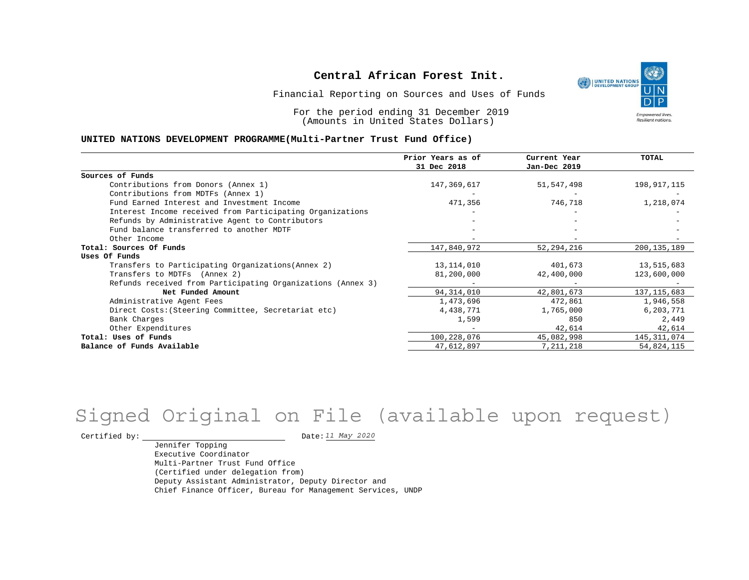

Financial Reporting on Sources and Uses of Funds

For the period ending 31 December 2019 (Amounts in United States Dollars)

#### **UNITED NATIONS DEVELOPMENT PROGRAMME(Multi-Partner Trust Fund Office)**

|                                                             | Prior Years as of<br>31 Dec 2018 | Current Year<br>Jan-Dec 2019 | <b>TOTAL</b>  |
|-------------------------------------------------------------|----------------------------------|------------------------------|---------------|
| Sources of Funds                                            |                                  |                              |               |
| Contributions from Donors (Annex 1)                         | 147,369,617                      | 51,547,498                   | 198,917,115   |
| Contributions from MDTFs (Annex 1)                          |                                  |                              |               |
| Fund Earned Interest and Investment Income                  | 471,356                          | 746,718                      | 1,218,074     |
| Interest Income received from Participating Organizations   |                                  |                              |               |
| Refunds by Administrative Agent to Contributors             |                                  |                              |               |
| Fund balance transferred to another MDTF                    |                                  |                              |               |
| Other Income                                                |                                  |                              |               |
| Total: Sources Of Funds                                     | 147,840,972                      | 52, 294, 216                 | 200, 135, 189 |
| Uses Of Funds                                               |                                  |                              |               |
| Transfers to Participating Organizations (Annex 2)          | 13, 114, 010                     | 401,673                      | 13,515,683    |
| Transfers to MDTFs (Annex 2)                                | 81,200,000                       | 42,400,000                   | 123,600,000   |
| Refunds received from Participating Organizations (Annex 3) |                                  |                              |               |
| Net Funded Amount                                           | 94, 314, 010                     | 42,801,673                   | 137, 115, 683 |
| Administrative Agent Fees                                   | 1,473,696                        | 472,861                      | 1,946,558     |
| Direct Costs: (Steering Committee, Secretariat etc)         | 4,438,771                        | 1,765,000                    | 6,203,771     |
| Bank Charges                                                | 1,599                            | 850                          | 2,449         |
| Other Expenditures                                          |                                  | 42,614                       | 42,614        |
| Total: Uses of Funds                                        | 100, 228, 076                    | 45,082,998                   | 145, 311, 074 |
| Balance of Funds Available                                  | 47,612,897                       | 7, 211, 218                  | 54,824,115    |

# Signed Original on File (available upon request)

Certified by:  $\frac{11 May 2020}{100}$ 

Jennifer Topping Executive Coordinator Multi-Partner Trust Fund Office (Certified under delegation from) Deputy Assistant Administrator, Deputy Director and Chief Finance Officer, Bureau for Management Services, UNDP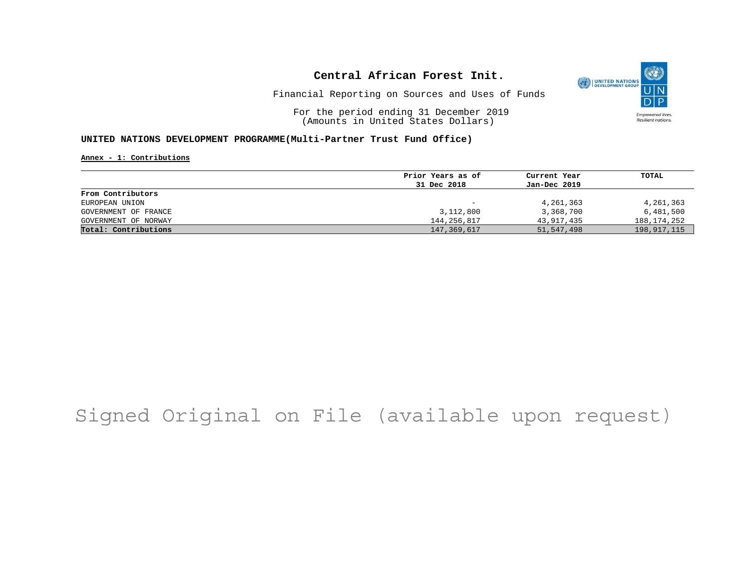

Financial Reporting on Sources and Uses of Funds

For the period ending 31 December 2019 (Amounts in United States Dollars)

#### **UNITED NATIONS DEVELOPMENT PROGRAMME(Multi-Partner Trust Fund Office)**

**Annex - 1: Contributions**

|                      | Prior Years as of        | Current Year | TOTAL       |
|----------------------|--------------------------|--------------|-------------|
|                      | 31 Dec 2018              | Jan-Dec 2019 |             |
| From Contributors    |                          |              |             |
| EUROPEAN UNION       | $\overline{\phantom{0}}$ | 4, 261, 363  | 4, 261, 363 |
| GOVERNMENT OF FRANCE | 3,112,800                | 3,368,700    | 6,481,500   |
| GOVERNMENT OF NORWAY | 144,256,817              | 43,917,435   | 188,174,252 |
| Total: Contributions | 147,369,617              | 51,547,498   | 198,917,115 |

# Signed Original on File (available upon request)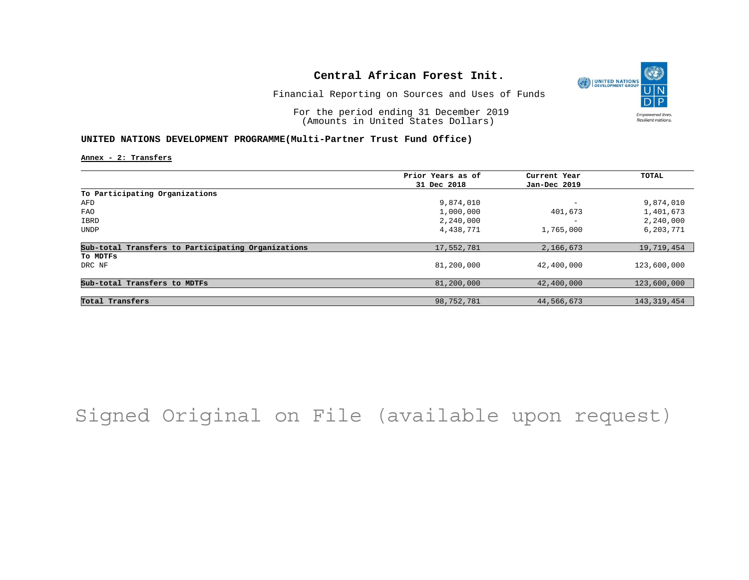

Financial Reporting on Sources and Uses of Funds

For the period ending 31 December 2019 (Amounts in United States Dollars)

#### **UNITED NATIONS DEVELOPMENT PROGRAMME(Multi-Partner Trust Fund Office)**

**Annex - 2: Transfers**

|                                                    | Prior Years as of | Current Year             | TOTAL         |
|----------------------------------------------------|-------------------|--------------------------|---------------|
|                                                    | 31 Dec 2018       | Jan-Dec 2019             |               |
| To Participating Organizations                     |                   |                          |               |
| AFD                                                | 9,874,010         | $\overline{\phantom{0}}$ | 9,874,010     |
| FAO                                                | 1,000,000         | 401,673                  | 1,401,673     |
| IBRD                                               | 2,240,000         | $\overline{\phantom{0}}$ | 2,240,000     |
| <b>UNDP</b>                                        | 4,438,771         | 1,765,000                | 6,203,771     |
| Sub-total Transfers to Participating Organizations | 17,552,781        | 2,166,673                | 19,719,454    |
| To MDTFs                                           |                   |                          |               |
| DRC NF                                             | 81,200,000        | 42,400,000               | 123,600,000   |
| Sub-total Transfers to MDTFs                       | 81,200,000        | 42,400,000               | 123,600,000   |
|                                                    |                   |                          |               |
| Total Transfers                                    | 98,752,781        | 44,566,673               | 143, 319, 454 |

# Signed Original on File (available upon request)